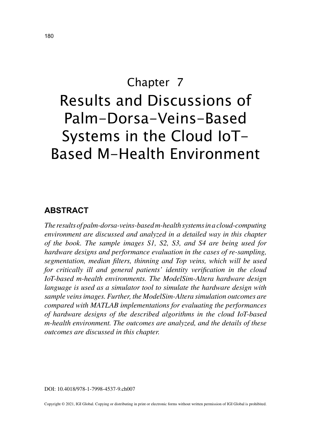# Chapter 7 Results and Discussions of Palm-Dorsa-Veins-Based Systems in the Cloud IoT-Based M-Health Environment

# **ABSTRACT**

*The results of palm-dorsa-veins-based m-health systems in a cloud-computing environment are discussed and analyzed in a detailed way in this chapter of the book. The sample images S1, S2, S3, and S4 are being used for hardware designs and performance evaluation in the cases of re-sampling, segmentation, median filters, thinning and Top veins, which will be used for critically ill and general patients' identity verification in the cloud IoT-based m-health environments. The ModelSim-Altera hardware design language is used as a simulator tool to simulate the hardware design with sample veins images. Further, the ModelSim-Altera simulation outcomes are compared with MATLAB implementations for evaluating the performances of hardware designs of the described algorithms in the cloud IoT-based m-health environment. The outcomes are analyzed, and the details of these outcomes are discussed in this chapter.*

DOI: 10.4018/978-1-7998-4537-9.ch007

Copyright © 2021, IGI Global. Copying or distributing in print or electronic forms without written permission of IGI Global is prohibited.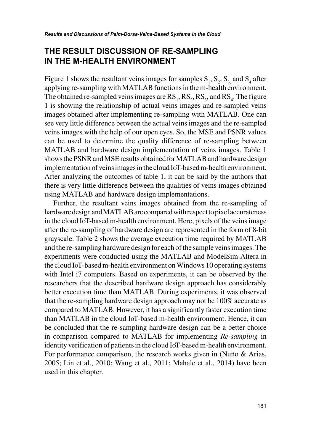# **THE RESULT DISCUSSION OF RE-SAMPLING IN THE M-HEALTH ENVIRONMENT**

Figure 1 shows the resultant veins images for samples  $S_1$ ,  $S_2$ ,  $S_3$  and  $S_4$  after applying re-sampling with MATLAB functions in the m-health environment. The obtained re-sampled veins images are  $RS_1, RS_2, RS_3$ , and  $RS_4$ . The figure 1 is showing the relationship of actual veins images and re-sampled veins images obtained after implementing re-sampling with MATLAB. One can see very little difference between the actual veins images and the re-sampled veins images with the help of our open eyes. So, the MSE and PSNR values can be used to determine the quality difference of re-sampling between MATLAB and hardware design implementation of veins images. Table 1 shows the PSNR and MSE results obtained for MATLAB and hardware design implementation of veins images in the cloud IoT-based m-health environment. After analyzing the outcomes of table 1, it can be said by the authors that there is very little difference between the qualities of veins images obtained using MATLAB and hardware design implementations.

Further, the resultant veins images obtained from the re-sampling of hardware design and MATLAB are compared with respect to pixel accurateness in the cloud IoT-based m-health environment. Here, pixels of the veins image after the re-sampling of hardware design are represented in the form of 8-bit grayscale. Table 2 shows the average execution time required by MATLAB and the re-sampling hardware design for each of the sample veins images. The experiments were conducted using the MATLAB and ModelSim-Altera in the cloud IoT-based m-health environment on Windows 10 operating systems with Intel i7 computers. Based on experiments, it can be observed by the researchers that the described hardware design approach has considerably better execution time than MATLAB. During experiments, it was observed that the re-sampling hardware design approach may not be 100% accurate as compared to MATLAB. However, it has a significantly faster execution time than MATLAB in the cloud IoT-based m-health environment. Hence, it can be concluded that the re-sampling hardware design can be a better choice in comparison compared to MATLAB for implementing *Re-sampling* in identity verification of patients in the cloud IoT-based m-health environment. For performance comparison, the research works given in (Nuño & Arias, 2005; Lin et al., 2010; Wang et al., 2011; Mahale et al., 2014) have been used in this chapter.